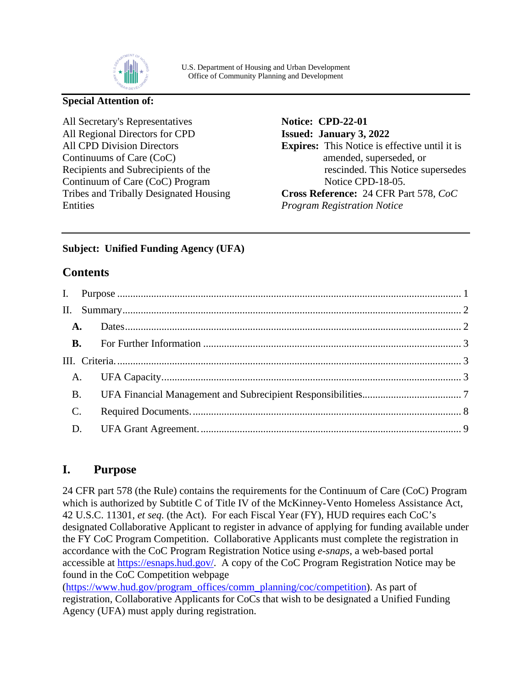

#### **Special Attention of:**

All Secretary's Representatives All Regional Directors for CPD All CPD Division Directors Continuums of Care (CoC) Recipients and Subrecipients of the Continuum of Care (CoC) Program Tribes and Tribally Designated Housing Entities

**Notice: CPD-22-01 Issued: January 3, 2022 Expires:** This Notice is effective until it is amended, superseded, or rescinded. This Notice supersedes Notice CPD-18-05. **Cross Reference:** 24 CFR Part 578, *CoC Program Registration Notice*

### **Subject: Unified Funding Agency (UFA)**

## **Contents**

|                | <b>A.</b> |  |  |
|----------------|-----------|--|--|
|                | <b>B.</b> |  |  |
|                |           |  |  |
|                |           |  |  |
| <b>B.</b>      |           |  |  |
| $\mathbf{C}$ . |           |  |  |
| D.             |           |  |  |

## <span id="page-0-0"></span>**I. Purpose**

24 CFR part 578 (the Rule) contains the requirements for the Continuum of Care (CoC) Program which is authorized by Subtitle C of Title IV of the McKinney-Vento Homeless Assistance Act, 42 U.S.C. 11301, *et seq.* (the Act). For each Fiscal Year (FY), HUD requires each CoC's designated Collaborative Applicant to register in advance of applying for funding available under the FY CoC Program Competition. Collaborative Applicants must complete the registration in accordance with the CoC Program Registration Notice using *e-snaps*, a web-based portal accessible at [https://esnaps.hud.gov/.](https://esnaps.hud.gov/) A copy of the CoC Program Registration Notice may be found in the CoC Competition webpage

[\(https://www.hud.gov/program\\_offices/comm\\_planning/coc/competition\)](https://www.hud.gov/program_offices/comm_planning/coc/competition). As part of registration, Collaborative Applicants for CoCs that wish to be designated a Unified Funding Agency (UFA) must apply during registration.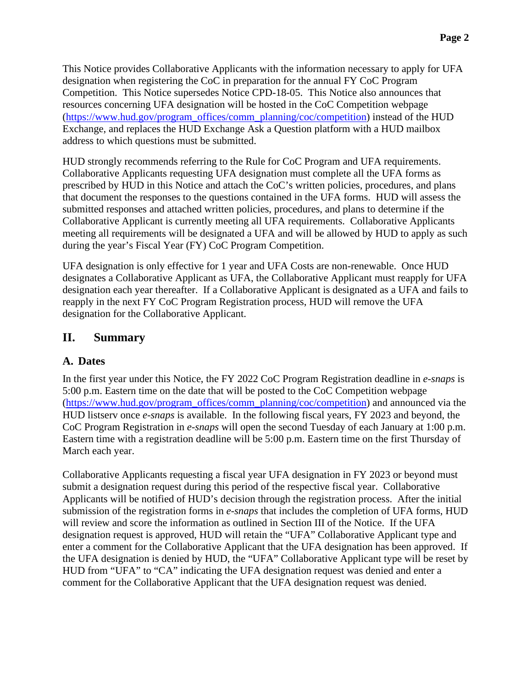This Notice provides Collaborative Applicants with the information necessary to apply for UFA designation when registering the CoC in preparation for the annual FY CoC Program Competition. This Notice supersedes Notice CPD-18-05. This Notice also announces that resources concerning UFA designation will be hosted in the CoC Competition webpage [\(https://www.hud.gov/program\\_offices/comm\\_planning/coc/competition\)](https://www.hud.gov/program_offices/comm_planning/coc/competition) instead of the HUD Exchange, and replaces the HUD Exchange Ask a Question platform with a HUD mailbox address to which questions must be submitted.

HUD strongly recommends referring to the Rule for CoC Program and UFA requirements. Collaborative Applicants requesting UFA designation must complete all the UFA forms as prescribed by HUD in this Notice and attach the CoC's written policies, procedures, and plans that document the responses to the questions contained in the UFA forms. HUD will assess the submitted responses and attached written policies, procedures, and plans to determine if the Collaborative Applicant is currently meeting all UFA requirements. Collaborative Applicants meeting all requirements will be designated a UFA and will be allowed by HUD to apply as such during the year's Fiscal Year (FY) CoC Program Competition.

UFA designation is only effective for 1 year and UFA Costs are non-renewable. Once HUD designates a Collaborative Applicant as UFA, the Collaborative Applicant must reapply for UFA designation each year thereafter. If a Collaborative Applicant is designated as a UFA and fails to reapply in the next FY CoC Program Registration process, HUD will remove the UFA designation for the Collaborative Applicant.

## <span id="page-1-0"></span>**II. Summary**

#### <span id="page-1-1"></span>**A. Dates**

In the first year under this Notice, the FY 2022 CoC Program Registration deadline in *e-snaps* is 5:00 p.m. Eastern time on the date that will be posted to the CoC Competition webpage [\(https://www.hud.gov/program\\_offices/comm\\_planning/coc/competition\)](https://www.hud.gov/program_offices/comm_planning/coc/competition) and announced via the HUD listserv once *e-snaps* is available. In the following fiscal years, FY 2023 and beyond, the CoC Program Registration in *e-snaps* will open the second Tuesday of each January at 1:00 p.m. Eastern time with a registration deadline will be 5:00 p.m. Eastern time on the first Thursday of March each year.

Collaborative Applicants requesting a fiscal year UFA designation in FY 2023 or beyond must submit a designation request during this period of the respective fiscal year. Collaborative Applicants will be notified of HUD's decision through the registration process. After the initial submission of the registration forms in *e-snaps* that includes the completion of UFA forms, HUD will review and score the information as outlined in Section III of the Notice. If the UFA designation request is approved, HUD will retain the "UFA" Collaborative Applicant type and enter a comment for the Collaborative Applicant that the UFA designation has been approved. If the UFA designation is denied by HUD, the "UFA" Collaborative Applicant type will be reset by HUD from "UFA" to "CA" indicating the UFA designation request was denied and enter a comment for the Collaborative Applicant that the UFA designation request was denied.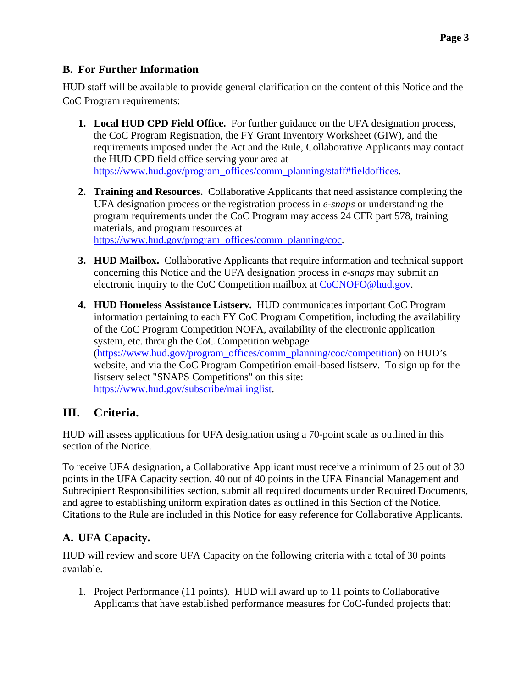## <span id="page-2-0"></span>**B. For Further Information**

HUD staff will be available to provide general clarification on the content of this Notice and the CoC Program requirements:

- **1. Local HUD CPD Field Office.** For further guidance on the UFA designation process, the CoC Program Registration, the FY Grant Inventory Worksheet (GIW), and the requirements imposed under the Act and the Rule, Collaborative Applicants may contact the HUD CPD field office serving your area at [https://www.hud.gov/program\\_offices/comm\\_planning/staff#fieldoffices.](https://www.hud.gov/program_offices/comm_planning/staff#fieldoffices)
- **2. Training and Resources.** Collaborative Applicants that need assistance completing the UFA designation process or the registration process in *e-snaps* or understanding the program requirements under the CoC Program may access 24 CFR part 578, training materials, and program resources at [https://www.hud.gov/program\\_offices/comm\\_planning/coc.](https://www.hud.gov/program_offices/comm_planning/coc)
- **3. HUD Mailbox.** Collaborative Applicants that require information and technical support concerning this Notice and the UFA designation process in *e-snaps* may submit an electronic inquiry to the CoC Competition mailbox at [CoCNOFO@hud.gov.](mailto:CoCNOFO@hud.gov)
- **4. HUD Homeless Assistance Listserv.** HUD communicates important CoC Program information pertaining to each FY CoC Program Competition, including the availability of the CoC Program Competition NOFA, availability of the electronic application system, etc. through the CoC Competition webpage [\(https://www.hud.gov/program\\_offices/comm\\_planning/coc/competition\)](https://www.hud.gov/program_offices/comm_planning/coc/competition) on HUD's website, and via the CoC Program Competition email-based listserv. To sign up for the listserv select "SNAPS Competitions" on this site: [https://www.hud.gov/subscribe/mailinglist.](https://www.hud.gov/subscribe/mailinglist)

# <span id="page-2-1"></span>**III. Criteria.**

HUD will assess applications for UFA designation using a 70-point scale as outlined in this section of the Notice.

To receive UFA designation, a Collaborative Applicant must receive a minimum of 25 out of 30 points in the UFA Capacity section, 40 out of 40 points in the UFA Financial Management and Subrecipient Responsibilities section, submit all required documents under Required Documents, and agree to establishing uniform expiration dates as outlined in this Section of the Notice. Citations to the Rule are included in this Notice for easy reference for Collaborative Applicants.

# <span id="page-2-2"></span>**A. UFA Capacity.**

HUD will review and score UFA Capacity on the following criteria with a total of 30 points available.

1. Project Performance (11 points). HUD will award up to 11 points to Collaborative Applicants that have established performance measures for CoC-funded projects that: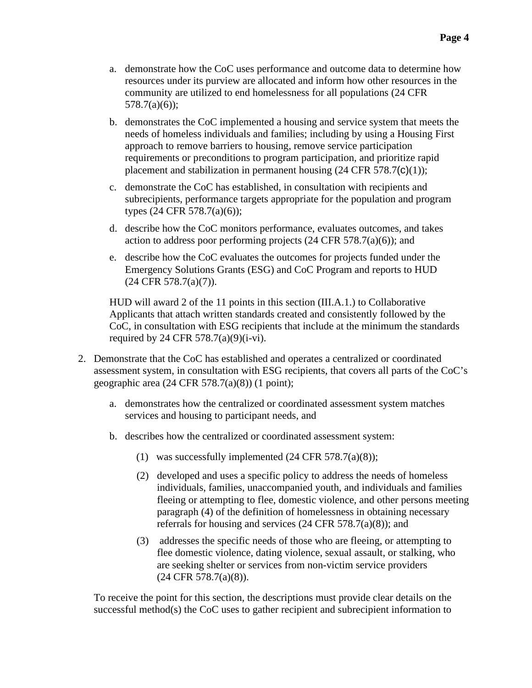- a. demonstrate how the CoC uses performance and outcome data to determine how resources under its purview are allocated and inform how other resources in the community are utilized to end homelessness for all populations (24 CFR 578.7(a)(6));
- b. demonstrates the CoC implemented a housing and service system that meets the needs of homeless individuals and families; including by using a Housing First approach to remove barriers to housing, remove service participation requirements or preconditions to program participation, and prioritize rapid placement and stabilization in permanent housing  $(24 \text{ CFR } 578.7(\text{c})(1));$
- c. demonstrate the CoC has established, in consultation with recipients and subrecipients, performance targets appropriate for the population and program types (24 CFR 578.7(a)(6));
- d. describe how the CoC monitors performance, evaluates outcomes, and takes action to address poor performing projects  $(24 \text{ CFR } 578.7(a)(6))$ ; and
- e. describe how the CoC evaluates the outcomes for projects funded under the Emergency Solutions Grants (ESG) and CoC Program and reports to HUD (24 CFR 578.7(a)(7)).

HUD will award 2 of the 11 points in this section (III.A.1.) to Collaborative Applicants that attach written standards created and consistently followed by the CoC, in consultation with ESG recipients that include at the minimum the standards required by 24 CFR 578.7(a)(9)(i-vi).

- 2. Demonstrate that the CoC has established and operates a centralized or coordinated assessment system, in consultation with ESG recipients, that covers all parts of the CoC's geographic area  $(24 \text{ CFR } 578.7(a)(8))$  (1 point);
	- a. demonstrates how the centralized or coordinated assessment system matches services and housing to participant needs, and
	- b. describes how the centralized or coordinated assessment system:
		- (1) was successfully implemented  $(24 \text{ CFR } 578.7(a)(8));$
		- (2) developed and uses a specific policy to address the needs of homeless individuals, families, unaccompanied youth, and individuals and families fleeing or attempting to flee, domestic violence, and other persons meeting paragraph (4) of the definition of homelessness in obtaining necessary referrals for housing and services (24 CFR 578.7(a)(8)); and
		- (3) addresses the specific needs of those who are fleeing, or attempting to flee domestic violence, dating violence, sexual assault, or stalking, who are seeking shelter or services from non-victim service providers (24 CFR 578.7(a)(8)).

To receive the point for this section, the descriptions must provide clear details on the successful method(s) the CoC uses to gather recipient and subrecipient information to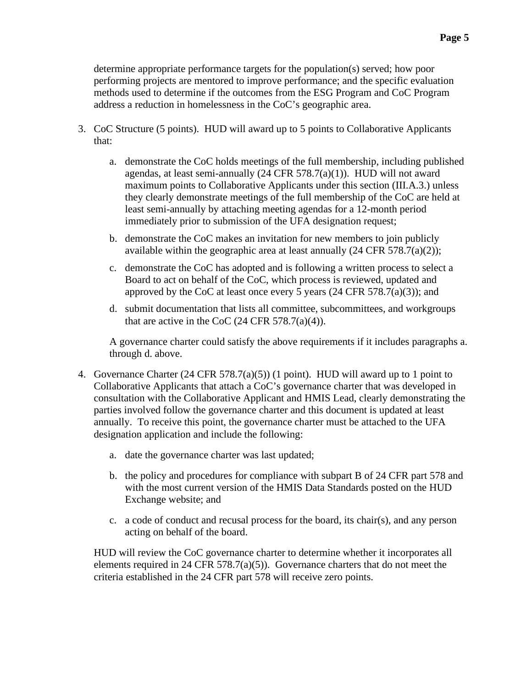determine appropriate performance targets for the population(s) served; how poor performing projects are mentored to improve performance; and the specific evaluation methods used to determine if the outcomes from the ESG Program and CoC Program address a reduction in homelessness in the CoC's geographic area.

- 3. CoC Structure (5 points). HUD will award up to 5 points to Collaborative Applicants that:
	- a. demonstrate the CoC holds meetings of the full membership, including published agendas, at least semi-annually (24 CFR 578.7(a)(1)). HUD will not award maximum points to Collaborative Applicants under this section (III.A.3.) unless they clearly demonstrate meetings of the full membership of the CoC are held at least semi-annually by attaching meeting agendas for a 12-month period immediately prior to submission of the UFA designation request;
	- b. demonstrate the CoC makes an invitation for new members to join publicly available within the geographic area at least annually  $(24 \text{ CFR } 578.7(a)(2));$
	- c. demonstrate the CoC has adopted and is following a written process to select a Board to act on behalf of the CoC, which process is reviewed, updated and approved by the CoC at least once every 5 years  $(24 \text{ CFR } 578.7(a)(3))$ ; and
	- d. submit documentation that lists all committee, subcommittees, and workgroups that are active in the CoC  $(24 \text{ CFR } 578.7(a)(4))$ .

A governance charter could satisfy the above requirements if it includes paragraphs a. through d. above.

- 4. Governance Charter (24 CFR 578.7(a)(5)) (1 point). HUD will award up to 1 point to Collaborative Applicants that attach a CoC's governance charter that was developed in consultation with the Collaborative Applicant and HMIS Lead, clearly demonstrating the parties involved follow the governance charter and this document is updated at least annually. To receive this point, the governance charter must be attached to the UFA designation application and include the following:
	- a. date the governance charter was last updated;
	- b. the policy and procedures for compliance with subpart B of 24 CFR part 578 and with the most current version of the HMIS Data Standards posted on the HUD Exchange website; and
	- c. a code of conduct and recusal process for the board, its chair(s), and any person acting on behalf of the board.

HUD will review the CoC governance charter to determine whether it incorporates all elements required in 24 CFR 578.7(a)(5)). Governance charters that do not meet the criteria established in the 24 CFR part 578 will receive zero points.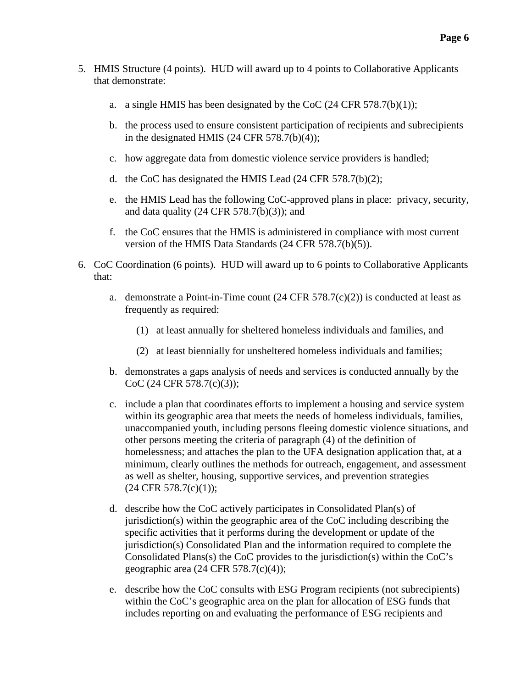- 5. HMIS Structure (4 points). HUD will award up to 4 points to Collaborative Applicants that demonstrate:
	- a. a single HMIS has been designated by the CoC  $(24 \text{ CFR } 578.7(b)(1));$
	- b. the process used to ensure consistent participation of recipients and subrecipients in the designated HMIS  $(24 \text{ CFR } 578.7(b)(4));$
	- c. how aggregate data from domestic violence service providers is handled;
	- d. the CoC has designated the HMIS Lead (24 CFR 578.7(b)(2);
	- e. the HMIS Lead has the following CoC-approved plans in place: privacy, security, and data quality  $(24 \text{ CFR } 578.7(b)(3))$ ; and
	- f. the CoC ensures that the HMIS is administered in compliance with most current version of the HMIS Data Standards (24 CFR 578.7(b)(5)).
- 6. CoC Coordination (6 points). HUD will award up to 6 points to Collaborative Applicants that:
	- a. demonstrate a Point-in-Time count  $(24 \text{ CFR } 578.7(c)(2))$  is conducted at least as frequently as required:
		- (1) at least annually for sheltered homeless individuals and families, and
		- (2) at least biennially for unsheltered homeless individuals and families;
	- b. demonstrates a gaps analysis of needs and services is conducted annually by the CoC (24 CFR 578.7(c)(3));
	- c. include a plan that coordinates efforts to implement a housing and service system within its geographic area that meets the needs of homeless individuals, families, unaccompanied youth, including persons fleeing domestic violence situations, and other persons meeting the criteria of paragraph (4) of the definition of homelessness; and attaches the plan to the UFA designation application that, at a minimum, clearly outlines the methods for outreach, engagement, and assessment as well as shelter, housing, supportive services, and prevention strategies  $(24 \text{ CFR } 578.7(c)(1));$
	- d. describe how the CoC actively participates in Consolidated Plan(s) of jurisdiction(s) within the geographic area of the CoC including describing the specific activities that it performs during the development or update of the jurisdiction(s) Consolidated Plan and the information required to complete the Consolidated Plans(s) the CoC provides to the jurisdiction(s) within the CoC's geographic area (24 CFR 578.7(c)(4));
	- e. describe how the CoC consults with ESG Program recipients (not subrecipients) within the CoC's geographic area on the plan for allocation of ESG funds that includes reporting on and evaluating the performance of ESG recipients and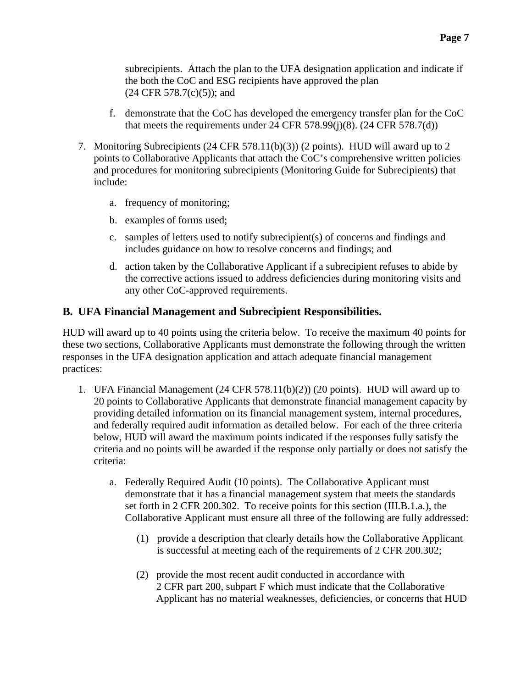subrecipients. Attach the plan to the UFA designation application and indicate if the both the CoC and ESG recipients have approved the plan  $(24 \text{ CFR } 578.7(c)(5))$ ; and

- f. demonstrate that the CoC has developed the emergency transfer plan for the CoC that meets the requirements under 24 CFR 578.99 $(i)(8)$ . (24 CFR 578.7 $(d)$ )
- 7. Monitoring Subrecipients (24 CFR 578.11(b)(3)) (2 points). HUD will award up to 2 points to Collaborative Applicants that attach the CoC's comprehensive written policies and procedures for monitoring subrecipients (Monitoring Guide for Subrecipients) that include:
	- a. frequency of monitoring;
	- b. examples of forms used;
	- c. samples of letters used to notify subrecipient(s) of concerns and findings and includes guidance on how to resolve concerns and findings; and
	- d. action taken by the Collaborative Applicant if a subrecipient refuses to abide by the corrective actions issued to address deficiencies during monitoring visits and any other CoC-approved requirements.

### <span id="page-6-0"></span>**B. UFA Financial Management and Subrecipient Responsibilities.**

HUD will award up to 40 points using the criteria below. To receive the maximum 40 points for these two sections, Collaborative Applicants must demonstrate the following through the written responses in the UFA designation application and attach adequate financial management practices:

- 1. UFA Financial Management (24 CFR 578.11(b)(2)) (20 points). HUD will award up to 20 points to Collaborative Applicants that demonstrate financial management capacity by providing detailed information on its financial management system, internal procedures, and federally required audit information as detailed below. For each of the three criteria below, HUD will award the maximum points indicated if the responses fully satisfy the criteria and no points will be awarded if the response only partially or does not satisfy the criteria:
	- a. Federally Required Audit (10 points). The Collaborative Applicant must demonstrate that it has a financial management system that meets the standards set forth in 2 CFR 200.302. To receive points for this section (III.B.1.a.), the Collaborative Applicant must ensure all three of the following are fully addressed:
		- (1) provide a description that clearly details how the Collaborative Applicant is successful at meeting each of the requirements of 2 CFR 200.302;
		- (2) provide the most recent audit conducted in accordance with 2 CFR part 200, subpart F which must indicate that the Collaborative Applicant has no material weaknesses, deficiencies, or concerns that HUD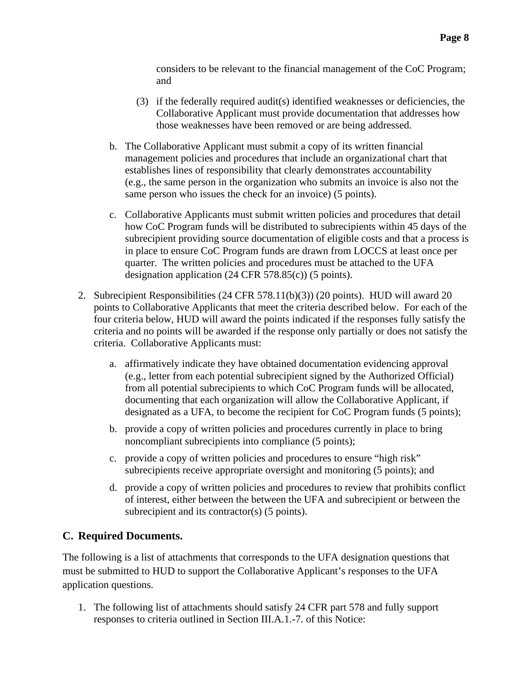considers to be relevant to the financial management of the CoC Program; and

- (3) if the federally required audit(s) identified weaknesses or deficiencies, the Collaborative Applicant must provide documentation that addresses how those weaknesses have been removed or are being addressed.
- b. The Collaborative Applicant must submit a copy of its written financial management policies and procedures that include an organizational chart that establishes lines of responsibility that clearly demonstrates accountability (e.g., the same person in the organization who submits an invoice is also not the same person who issues the check for an invoice) (5 points).
- c. Collaborative Applicants must submit written policies and procedures that detail how CoC Program funds will be distributed to subrecipients within 45 days of the subrecipient providing source documentation of eligible costs and that a process is in place to ensure CoC Program funds are drawn from LOCCS at least once per quarter. The written policies and procedures must be attached to the UFA designation application (24 CFR 578.85(c)) (5 points).
- 2. Subrecipient Responsibilities (24 CFR 578.11(b)(3)) (20 points). HUD will award 20 points to Collaborative Applicants that meet the criteria described below. For each of the four criteria below, HUD will award the points indicated if the responses fully satisfy the criteria and no points will be awarded if the response only partially or does not satisfy the criteria. Collaborative Applicants must:
	- a. affirmatively indicate they have obtained documentation evidencing approval (e.g., letter from each potential subrecipient signed by the Authorized Official) from all potential subrecipients to which CoC Program funds will be allocated, documenting that each organization will allow the Collaborative Applicant, if designated as a UFA, to become the recipient for CoC Program funds (5 points);
	- b. provide a copy of written policies and procedures currently in place to bring noncompliant subrecipients into compliance (5 points);
	- c. provide a copy of written policies and procedures to ensure "high risk" subrecipients receive appropriate oversight and monitoring (5 points); and
	- d. provide a copy of written policies and procedures to review that prohibits conflict of interest, either between the between the UFA and subrecipient or between the subrecipient and its contractor(s) (5 points).

#### <span id="page-7-0"></span>**C. Required Documents.**

The following is a list of attachments that corresponds to the UFA designation questions that must be submitted to HUD to support the Collaborative Applicant's responses to the UFA application questions.

1. The following list of attachments should satisfy 24 CFR part 578 and fully support responses to criteria outlined in Section III.A.1.-7. of this Notice: